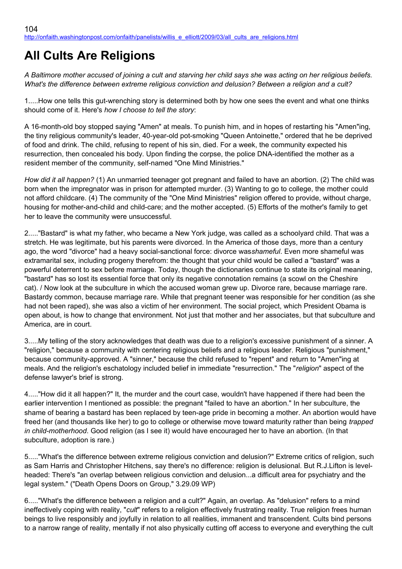# **All Cults Are Religions**

*A Baltimore mother accused of joining a cult and starving her child says she was acting on her religious beliefs. What's the difference between extreme religious conviction and delusion? Between a religion and a cult?*

1.....How one tells this gut-wrenching story is determined both by how one sees the event and what one thinks should come of it. Here's *how I choose to tell the story*:

A 16-month-old boy stopped saying "Amen" at meals. To punish him, and in hopes of restarting his "Amen"ing, the tiny religious community's leader, 40-year-old pot-smoking "Queen Antoinette," ordered that he be deprived of food and drink. The child, refusing to repent of his sin, died. For a week, the community expected his resurrection, then concealed his body. Upon finding the corpse, the police DNA-identified the mother as a resident member of the community, self-named "One Mind Ministries."

*How did it all happen?* (1) An unmarried teenager got pregnant and failed to have an abortion. (2) The child was born when the impregnator was in prison for attempted murder. (3) Wanting to go to college, the mother could not afford childcare. (4) The community of the "One Mind Ministries" religion offered to provide, without charge, housing for mother-and-child and child-care; and the mother accepted. (5) Efforts of the mother's family to get her to leave the community were unsuccessful.

2....."Bastard" is what my father, who became a New York judge, was called as a schoolyard child. That was a stretch. He was legitimate, but his parents were divorced. In the America of those days, more than a century ago, the word "divorce" had a heavy social-sanctional force: divorce was*shameful*. Even more shameful was extramarital sex, including progeny therefrom: the thought that your child would be called a "bastard" was a powerful deterrent to sex before marriage. Today, though the dictionaries continue to state its original meaning, "bastard" has so lost its essential force that only its negative connotation remains (a scowl on the Cheshire cat). / Now look at the subculture in which the accused woman grew up. Divorce rare, because marriage rare. Bastardy common, because marriage rare. While that pregnant teener was responsible for her condition (as she had not been raped), she was also a victim of her environment. The social project, which President Obama is open about, is how to change that environment. Not just that mother and her associates, but that subculture and America, are in court.

3.....My telling of the story acknowledges that death was due to a religion's excessive punishment of a sinner. A "religion," because a community with centering religious beliefs and a religious leader. Religious "punishment," because community-approved. A "sinner," because the child refused to "repent" and return to "Amen"ing at meals. And the religion's eschatology included belief in immediate "resurrection." The "*religion*" aspect of the defense lawyer's brief is strong.

4....."How did it all happen?" It, the murder and the court case, wouldn't have happened if there had been the earlier intervention I mentioned as possible: the pregnant "failed to have an abortion." In her subculture, the shame of bearing a bastard has been replaced by teen-age pride in becoming a mother. An abortion would have freed her (and thousands like her) to go to college or otherwise move toward maturity rather than being *trapped in child-motherhood*. Good religion (as I see it) would have encouraged her to have an abortion. (In that subculture, adoption is rare.)

5....."What's the difference between extreme religious conviction and delusion?" Extreme critics of religion, such as Sam Harris and Christopher Hitchens, say there's no difference: religion is delusional. But R.J.Lifton is levelheaded: There's "an overlap between religious conviction and delusion...a difficult area for psychiatry and the legal system." ("Death Opens Doors on Group," 3.29.09 WP)

6....."What's the difference between a religion and a cult?" Again, an overlap. As "delusion" refers to a mind ineffectively coping with reality, "*cult*" refers to a religion effectively frustrating reality. True religion frees human beings to live responsibly and joyfully in relation to all realities, immanent and transcendent. Cults bind persons to a narrow range of reality, mentally if not also physically cutting off access to everyone and everything the cult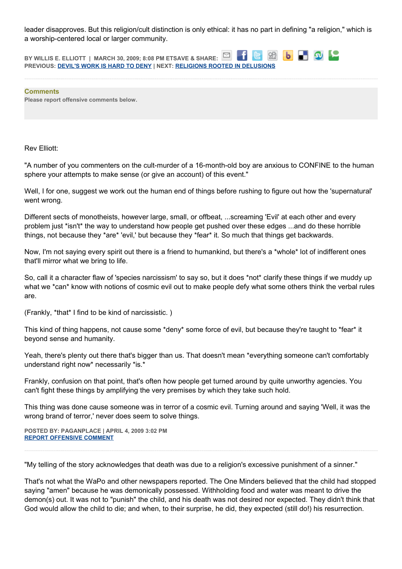leader disapproves. But this religion/cult distinction is only ethical: it has no part in defining "a religion," which is a worship-centered local or larger community.

88 6 5 9 9 **BY WILLIS E. ELLIOTT | MARCH 30, 2009; 8:08 PM ETSAVE & SHARE: PREVIOUS: [DEVIL'S WORK IS HARD TO DENY](http://onfaith.washingtonpost.com/onfaith/panelists/charles_colson/2009/03/devils_work_is_hard_to_deny.html) | NEXT: [RELIGIONS ROOTED IN DELUSIONS](http://onfaith.washingtonpost.com/onfaith/panelists/susan_jacoby/2009/03/all_religions_rooted_in_delusions_some_comfort_some_kill.html)**

**Comments Please report offensive comments below.**

Rev Elliott:

"A number of you commenters on the cult-murder of a 16-month-old boy are anxious to CONFINE to the human sphere your attempts to make sense (or give an account) of this event."

Well, I for one, suggest we work out the human end of things before rushing to figure out how the 'supernatural' went wrong.

Different sects of monotheists, however large, small, or offbeat, ...screaming 'Evil' at each other and every problem just \*isn't\* the way to understand how people get pushed over these edges ...and do these horrible things, not because they \*are\* 'evil,' but because they \*fear\* it. So much that things get backwards.

Now, I'm not saying every spirit out there is a friend to humankind, but there's a \*whole\* lot of indifferent ones that'll mirror what we bring to life.

So, call it a character flaw of 'species narcissism' to say so, but it does \*not\* clarify these things if we muddy up what we \*can\* know with notions of cosmic evil out to make people defy what some others think the verbal rules are.

(Frankly, \*that\* I find to be kind of narcissistic. )

This kind of thing happens, not cause some \*deny\* some force of evil, but because they're taught to \*fear\* it beyond sense and humanity.

Yeah, there's plenty out there that's bigger than us. That doesn't mean \*everything someone can't comfortably understand right now\* necessarily \*is.\*

Frankly, confusion on that point, that's often how people get turned around by quite unworthy agencies. You can't fight these things by amplifying the very premises by which they take such hold.

This thing was done cause someone was in terror of a cosmic evil. Turning around and saying 'Well, it was the wrong brand of terror,' never does seem to solve things.

**POSTED BY: PAGANPLACE | APRIL 4, 2009 3:02 PM [REPORT OFFENSIVE COMMENT](mailto:blogs@washingtonpost.com?subject=On%20Faith%20Panelists%20Blog%20%20%7C%20%20Paganplace%20%20%7C%20%20All%20Cults%20Are%20Religions%20%20%7C%20%204658109&body=%0D%0D%0D%0D%0D================%0D?__mode=view%26_type=comment%26id=4658109%26blog_id=618)**

"My telling of the story acknowledges that death was due to a religion's excessive punishment of a sinner."

That's not what the WaPo and other newspapers reported. The One Minders believed that the child had stopped saying "amen" because he was demonically possessed. Withholding food and water was meant to drive the demon(s) out. It was not to "punish" the child, and his death was not desired nor expected. They didn't think that God would allow the child to die; and when, to their surprise, he did, they expected (still do!) his resurrection.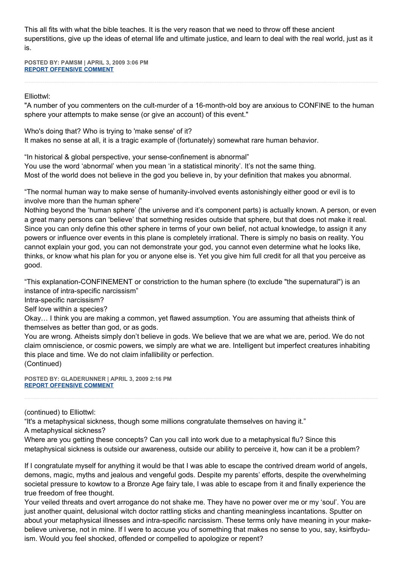This all fits with what the bible teaches. It is the very reason that we need to throw off these ancient superstitions, give up the ideas of eternal life and ultimate justice, and learn to deal with the real world, just as it is.

**POSTED BY: PAMSM | APRIL 3, 2009 3:06 PM [REPORT OFFENSIVE COMMENT](mailto:blogs@washingtonpost.com?subject=On%20Faith%20Panelists%20Blog%20%20%7C%20%20Pamsm%20%20%7C%20%20All%20Cults%20Are%20Religions%20%20%7C%20%204657807&body=%0D%0D%0D%0D%0D================%0D?__mode=view%26_type=comment%26id=4657807%26blog_id=618)**

Elliottwl:

"A number of you commenters on the cult-murder of a 16-month-old boy are anxious to CONFINE to the human sphere your attempts to make sense (or give an account) of this event."

Who's doing that? Who is trying to 'make sense' of it? It makes no sense at all, it is a tragic example of (fortunately) somewhat rare human behavior.

"In historical & global perspective, your sense-confinement is abnormal" You use the word 'abnormal' when you mean 'in a statistical minority'. It's not the same thing. Most of the world does not believe in the god you believe in, by your definition that makes you abnormal.

"The normal human way to make sense of humanity-involved events astonishingly either good or evil is to involve more than the human sphere"

Nothing beyond the 'human sphere' (the universe and it's component parts) is actually known. A person, or even a great many persons can 'believe' that something resides outside that sphere, but that does not make it real. Since you can only define this other sphere in terms of your own belief, not actual knowledge, to assign it any powers or influence over events in this plane is completely irrational. There is simply no basis on reality. You cannot explain your god, you can not demonstrate your god, you cannot even determine what he looks like, thinks, or know what his plan for you or anyone else is. Yet you give him full credit for all that you perceive as good.

"This explanation-CONFINEMENT or constriction to the human sphere (to exclude "the supernatural") is an instance of intra-specific narcissism"

Intra-specific narcissism?

Self love within a species?

Okay… I think you are making a common, yet flawed assumption. You are assuming that atheists think of themselves as better than god, or as gods.

You are wrong. Atheists simply don't believe in gods. We believe that we are what we are, period. We do not claim omniscience, or cosmic powers, we simply are what we are. Intelligent but imperfect creatures inhabiting this place and time. We do not claim infallibility or perfection. (Continued)

**POSTED BY: GLADERUNNER | APRIL 3, 2009 2:16 PM [REPORT OFFENSIVE COMMENT](mailto:blogs@washingtonpost.com?subject=On%20Faith%20Panelists%20Blog%20%20%7C%20%20gladerunner%20%20%7C%20%20All%20Cults%20Are%20Religions%20%20%7C%20%204657797&body=%0D%0D%0D%0D%0D================%0D?__mode=view%26_type=comment%26id=4657797%26blog_id=618)**

(continued) to Elliottwl:

"It's a metaphysical sickness, though some millions congratulate themselves on having it."

A metaphysical sickness?

Where are you getting these concepts? Can you call into work due to a metaphysical flu? Since this metaphysical sickness is outside our awareness, outside our ability to perceive it, how can it be a problem?

If I congratulate myself for anything it would be that I was able to escape the contrived dream world of angels, demons, magic, myths and jealous and vengeful gods. Despite my parents' efforts, despite the overwhelming societal pressure to kowtow to a Bronze Age fairy tale, I was able to escape from it and finally experience the true freedom of free thought.

Your veiled threats and overt arrogance do not shake me. They have no power over me or my 'soul'. You are just another quaint, delusional witch doctor rattling sticks and chanting meaningless incantations. Sputter on about your metaphysical illnesses and intra-specific narcissism. These terms only have meaning in your makebelieve universe, not in mine. If I were to accuse you of something that makes no sense to you, say, ksirfbyduism. Would you feel shocked, offended or compelled to apologize or repent?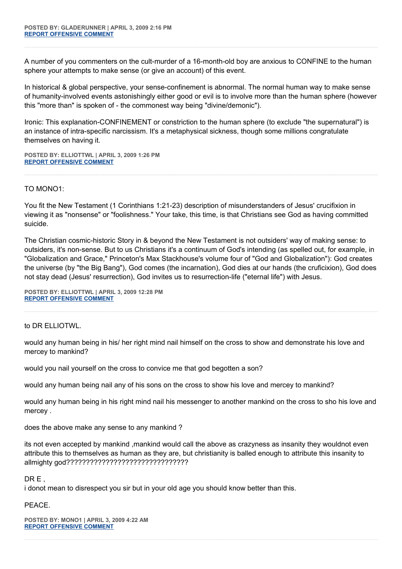A number of you commenters on the cult-murder of a 16-month-old boy are anxious to CONFINE to the human sphere your attempts to make sense (or give an account) of this event.

In historical & global perspective, your sense-confinement is abnormal. The normal human way to make sense of humanity-involved events astonishingly either good or evil is to involve more than the human sphere (however this "more than" is spoken of - the commonest way being "divine/demonic").

Ironic: This explanation-CONFINEMENT or constriction to the human sphere (to exclude "the supernatural") is an instance of intra-specific narcissism. It's a metaphysical sickness, though some millions congratulate themselves on having it.

**POSTED BY: ELLIOTTWL | APRIL 3, 2009 1:26 PM [REPORT OFFENSIVE COMMENT](mailto:blogs@washingtonpost.com?subject=On%20Faith%20Panelists%20Blog%20%20%7C%20%20elliottwl%20%20%7C%20%20All%20Cults%20Are%20Religions%20%20%7C%20%204657782&body=%0D%0D%0D%0D%0D================%0D?__mode=view%26_type=comment%26id=4657782%26blog_id=618)**

## TO MONO1:

You fit the New Testament (1 Corinthians 1:21-23) description of misunderstanders of Jesus' crucifixion in viewing it as "nonsense" or "foolishness." Your take, this time, is that Christians see God as having committed suicide.

The Christian cosmic-historic Story in & beyond the New Testament is not outsiders' way of making sense: to outsiders, it's non-sense. But to us Christians it's a continuum of God's intending (as spelled out, for example, in "Globalization and Grace," Princeton's Max Stackhouse's volume four of "God and Globalization"): God creates the universe (by "the Big Bang"), God comes (the incarnation), God dies at our hands (the cruficixion), God does not stay dead (Jesus' resurrection), God invites us to resurrection-life ("eternal life") with Jesus.

**POSTED BY: ELLIOTTWL | APRIL 3, 2009 12:28 PM [REPORT OFFENSIVE COMMENT](mailto:blogs@washingtonpost.com?subject=On%20Faith%20Panelists%20Blog%20%20%7C%20%20elliottwl%20%20%7C%20%20All%20Cults%20Are%20Religions%20%20%7C%20%204657767&body=%0D%0D%0D%0D%0D================%0D?__mode=view%26_type=comment%26id=4657767%26blog_id=618)**

to DR ELLIOTWL.

would any human being in his/ her right mind nail himself on the cross to show and demonstrate his love and mercey to mankind?

would you nail yourself on the cross to convice me that god begotten a son?

would any human being nail any of his sons on the cross to show his love and mercey to mankind?

would any human being in his right mind nail his messenger to another mankind on the cross to sho his love and mercey .

does the above make any sense to any mankind ?

its not even accepted by mankind ,mankind would call the above as crazyness as insanity they wouldnot even attribute this to themselves as human as they are, but christianity is balled enough to attribute this insanity to allmighty god???????????????????????????????

DR E ,

i donot mean to disrespect you sir but in your old age you should know better than this.

PEACE.

**POSTED BY: MONO1 | APRIL 3, 2009 4:22 AM [REPORT OFFENSIVE COMMENT](mailto:blogs@washingtonpost.com?subject=On%20Faith%20Panelists%20Blog%20%20%7C%20%20mono1%20%20%7C%20%20All%20Cults%20Are%20Religions%20%20%7C%20%204657719&body=%0D%0D%0D%0D%0D================%0D?__mode=view%26_type=comment%26id=4657719%26blog_id=618)**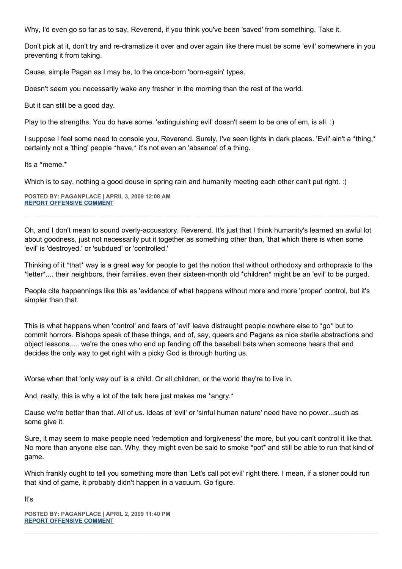Why, I'd even go so far as to say, Reverend, if you think you've been 'saved' from something. Take it.

Don't pick at it, don't try and re-dramatize it over and over again like there must be some 'evil' somewhere in you preventing it from taking.

Cause, simple Pagan as I may be, to the once-born 'born-again' types.

Doesn't seem you necessarily wake any fresher in the morning than the rest of the world.

But it can still be a good day.

Play to the strengths. You do have some. 'extinguishing evil' doesn't seem to be one of em, is all. :)

I suppose I feel some need to console you, Reverend. Surely, I've seen lights in dark places. 'Evil' ain't a \*thing,\* certainly not a 'thing' people \*have,\* it's not even an 'absence' of a thing.

Its a \*meme.\*

Which is to say, nothing a good douse in spring rain and humanity meeting each other can't put right. :)

**POSTED BY: PAGANPLACE | APRIL 3, 2009 12:08 AM [REPORT OFFENSIVE COMMENT](mailto:blogs@washingtonpost.com?subject=On%20Faith%20Panelists%20Blog%20%20%7C%20%20Paganplace%20%20%7C%20%20All%20Cults%20Are%20Religions%20%20%7C%20%204657704&body=%0D%0D%0D%0D%0D================%0D?__mode=view%26_type=comment%26id=4657704%26blog_id=618)**

Oh, and I don't mean to sound overly-accusatory, Reverend. It's just that I think humanity's learned an awful lot about goodness, just not necessarily put it together as something other than, 'that which there is when some 'evil' is 'destroyed.' or 'subdued' or 'controlled.'

Thinking of it \*that\* way is a great way for people to get the notion that without orthodoxy and orthopraxis to the \*letter\*.... their neighbors, their families, even their sixteen-month old \*children\* might be an 'evil' to be purged.

People cite happennings like this as 'evidence of what happens without more and more 'proper' control, but it's simpler than that.

This is what happens when 'control' and fears of 'evil' leave distraught people nowhere else to \*go\* but to commit horrors. Bishops speak of these things, and of, say, queers and Pagans as nice sterile abstractions and object lessons..... we're the ones who end up fending off the baseball bats when someone hears that and decides the only way to get right with a picky God is through hurting us.

Worse when that 'only way out' is a child. Or all children, or the world they're to live in.

And, really, this is why a lot of the talk here just makes me \*angry.\*

Cause we're better than that. All of us. Ideas of 'evil' or 'sinful human nature' need have no power...such as some give it.

Sure, it may seem to make people need 'redemption and forgiveness' the more, but you can't control it like that. No more than anyone else can. Why, they might even be said to smoke \*pot\* and still be able to run that kind of game.

Which frankly ought to tell you something more than 'Let's call pot evil' right there. I mean, if a stoner could run that kind of game, it probably didn't happen in a vacuum. Go figure.

It's

**POSTED BY: PAGANPLACE | APRIL 2, 2009 11:40 PM [REPORT OFFENSIVE COMMENT](mailto:blogs@washingtonpost.com?subject=On%20Faith%20Panelists%20Blog%20%20%7C%20%20Paganplace%20%20%7C%20%20All%20Cults%20Are%20Religions%20%20%7C%20%204657698&body=%0D%0D%0D%0D%0D================%0D?__mode=view%26_type=comment%26id=4657698%26blog_id=618)**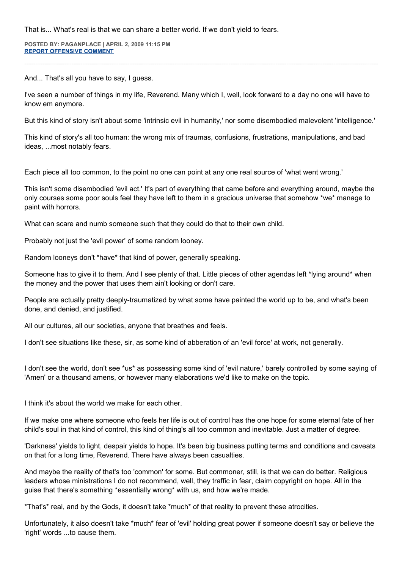That is... What's real is that we can share a better world. If we don't yield to fears.

**POSTED BY: PAGANPLACE | APRIL 2, 2009 11:15 PM [REPORT OFFENSIVE COMMENT](mailto:blogs@washingtonpost.com?subject=On%20Faith%20Panelists%20Blog%20%20%7C%20%20Paganplace%20%20%7C%20%20All%20Cults%20Are%20Religions%20%20%7C%20%204657694&body=%0D%0D%0D%0D%0D================%0D?__mode=view%26_type=comment%26id=4657694%26blog_id=618)**

And... That's all you have to say, I guess.

I've seen a number of things in my life, Reverend. Many which I, well, look forward to a day no one will have to know em anymore.

But this kind of story isn't about some 'intrinsic evil in humanity,' nor some disembodied malevolent 'intelligence.'

This kind of story's all too human: the wrong mix of traumas, confusions, frustrations, manipulations, and bad ideas, ...most notably fears.

Each piece all too common, to the point no one can point at any one real source of 'what went wrong.'

This isn't some disembodied 'evil act.' It's part of everything that came before and everything around, maybe the only courses some poor souls feel they have left to them in a gracious universe that somehow \*we\* manage to paint with horrors.

What can scare and numb someone such that they could do that to their own child.

Probably not just the 'evil power' of some random looney.

Random looneys don't \*have\* that kind of power, generally speaking.

Someone has to give it to them. And I see plenty of that. Little pieces of other agendas left \*lying around\* when the money and the power that uses them ain't looking or don't care.

People are actually pretty deeply-traumatized by what some have painted the world up to be, and what's been done, and denied, and justified.

All our cultures, all our societies, anyone that breathes and feels.

I don't see situations like these, sir, as some kind of abberation of an 'evil force' at work, not generally.

I don't see the world, don't see \*us\* as possessing some kind of 'evil nature,' barely controlled by some saying of 'Amen' or a thousand amens, or however many elaborations we'd like to make on the topic.

I think it's about the world we make for each other.

If we make one where someone who feels her life is out of control has the one hope for some eternal fate of her child's soul in that kind of control, this kind of thing's all too common and inevitable. Just a matter of degree.

'Darkness' yields to light, despair yields to hope. It's been big business putting terms and conditions and caveats on that for a long time, Reverend. There have always been casualties.

And maybe the reality of that's too 'common' for some. But commoner, still, is that we can do better. Religious leaders whose ministrations I do not recommend, well, they traffic in fear, claim copyright on hope. All in the guise that there's something \*essentially wrong\* with us, and how we're made.

\*That's\* real, and by the Gods, it doesn't take \*much\* of that reality to prevent these atrocities.

Unfortunately, it also doesn't take \*much\* fear of 'evil' holding great power if someone doesn't say or believe the 'right' words ...to cause them.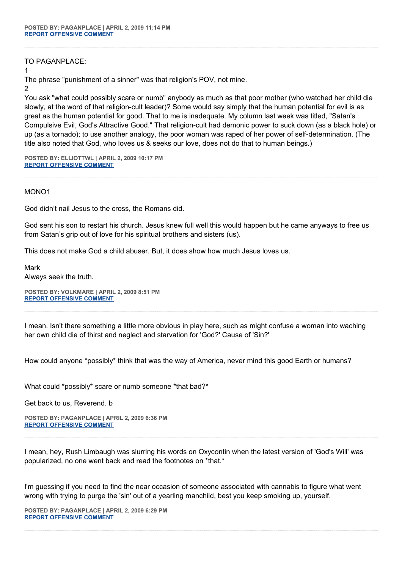TO PAGANPLACE:

1

The phrase "punishment of a sinner" was that religion's POV, not mine.

### 2

You ask "what could possibly scare or numb" anybody as much as that poor mother (who watched her child die slowly, at the word of that religion-cult leader)? Some would say simply that the human potential for evil is as great as the human potential for good. That to me is inadequate. My column last week was titled, "Satan's Compulsive Evil, God's Attractive Good." That religion-cult had demonic power to suck down (as a black hole) or up (as a tornado); to use another analogy, the poor woman was raped of her power of self-determination. (The title also noted that God, who loves us & seeks our love, does not do that to human beings.)

**POSTED BY: ELLIOTTWL | APRIL 2, 2009 10:17 PM [REPORT OFFENSIVE COMMENT](mailto:blogs@washingtonpost.com?subject=On%20Faith%20Panelists%20Blog%20%20%7C%20%20elliottwl%20%20%7C%20%20All%20Cults%20Are%20Religions%20%20%7C%20%204657692&body=%0D%0D%0D%0D%0D================%0D?__mode=view%26_type=comment%26id=4657692%26blog_id=618)**

MONO1

God didn't nail Jesus to the cross, the Romans did.

God sent his son to restart his church. Jesus knew full well this would happen but he came anyways to free us from Satan's grip out of love for his spiritual brothers and sisters (us).

This does not make God a child abuser. But, it does show how much Jesus loves us.

Mark

Always seek the truth.

**POSTED BY: VOLKMARE | APRIL 2, 2009 8:51 PM [REPORT OFFENSIVE COMMENT](mailto:blogs@washingtonpost.com?subject=On%20Faith%20Panelists%20Blog%20%20%7C%20%20volkmare%20%20%7C%20%20All%20Cults%20Are%20Religions%20%20%7C%20%204657681&body=%0D%0D%0D%0D%0D================%0D?__mode=view%26_type=comment%26id=4657681%26blog_id=618)**

I mean. Isn't there something a little more obvious in play here, such as might confuse a woman into waching her own child die of thirst and neglect and starvation for 'God?' Cause of 'Sin?'

How could anyone \*possibly\* think that was the way of America, never mind this good Earth or humans?

What could \*possibly\* scare or numb someone \*that bad?\*

Get back to us, Reverend. b

**POSTED BY: PAGANPLACE | APRIL 2, 2009 6:36 PM [REPORT OFFENSIVE COMMENT](mailto:blogs@washingtonpost.com?subject=On%20Faith%20Panelists%20Blog%20%20%7C%20%20Paganplace%20%20%7C%20%20All%20Cults%20Are%20Religions%20%20%7C%20%204657667&body=%0D%0D%0D%0D%0D================%0D?__mode=view%26_type=comment%26id=4657667%26blog_id=618)**

I mean, hey, Rush Limbaugh was slurring his words on Oxycontin when the latest version of 'God's Will' was popularized, no one went back and read the footnotes on \*that.\*

I'm guessing if you need to find the near occasion of someone associated with cannabis to figure what went wrong with trying to purge the 'sin' out of a yearling manchild, best you keep smoking up, yourself.

**POSTED BY: PAGANPLACE | APRIL 2, 2009 6:29 PM [REPORT OFFENSIVE COMMENT](mailto:blogs@washingtonpost.com?subject=On%20Faith%20Panelists%20Blog%20%20%7C%20%20Paganplace%20%20%7C%20%20All%20Cults%20Are%20Religions%20%20%7C%20%204657666&body=%0D%0D%0D%0D%0D================%0D?__mode=view%26_type=comment%26id=4657666%26blog_id=618)**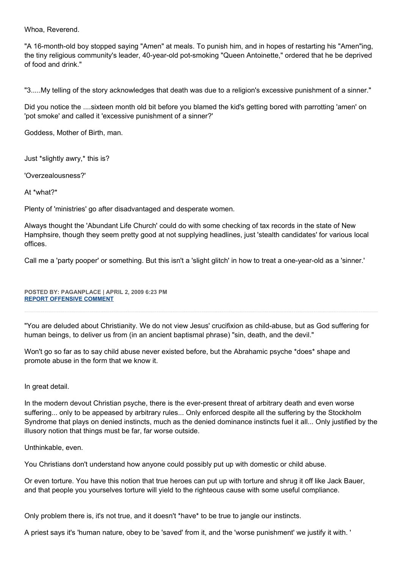Whoa, Reverend.

"A 16-month-old boy stopped saying "Amen" at meals. To punish him, and in hopes of restarting his "Amen"ing, the tiny religious community's leader, 40-year-old pot-smoking "Queen Antoinette," ordered that he be deprived of food and drink."

"3.....My telling of the story acknowledges that death was due to a religion's excessive punishment of a sinner."

Did you notice the ....sixteen month old bit before you blamed the kid's getting bored with parrotting 'amen' on 'pot smoke' and called it 'excessive punishment of a sinner?'

Goddess, Mother of Birth, man.

Just \*slightly awry,\* this is?

'Overzealousness?'

At \*what?\*

Plenty of 'ministries' go after disadvantaged and desperate women.

Always thought the 'Abundant Life Church' could do with some checking of tax records in the state of New Hamphsire, though they seem pretty good at not supplying headlines, just 'stealth candidates' for various local offices.

Call me a 'party pooper' or something. But this isn't a 'slight glitch' in how to treat a one-year-old as a 'sinner.'

**POSTED BY: PAGANPLACE | APRIL 2, 2009 6:23 PM [REPORT OFFENSIVE COMMENT](mailto:blogs@washingtonpost.com?subject=On%20Faith%20Panelists%20Blog%20%20%7C%20%20Paganplace%20%20%7C%20%20All%20Cults%20Are%20Religions%20%20%7C%20%204657665&body=%0D%0D%0D%0D%0D================%0D?__mode=view%26_type=comment%26id=4657665%26blog_id=618)**

"You are deluded about Christianity. We do not view Jesus' crucifixion as child-abuse, but as God suffering for human beings, to deliver us from (in an ancient baptismal phrase) "sin, death, and the devil."

Won't go so far as to say child abuse never existed before, but the Abrahamic psyche \*does\* shape and promote abuse in the form that we know it.

In great detail.

In the modern devout Christian psyche, there is the ever-present threat of arbitrary death and even worse suffering... only to be appeased by arbitrary rules... Only enforced despite all the suffering by the Stockholm Syndrome that plays on denied instincts, much as the denied dominance instincts fuel it all... Only justified by the illusory notion that things must be far, far worse outside.

Unthinkable, even.

You Christians don't understand how anyone could possibly put up with domestic or child abuse.

Or even torture. You have this notion that true heroes can put up with torture and shrug it off like Jack Bauer, and that people you yourselves torture will yield to the righteous cause with some useful compliance.

Only problem there is, it's not true, and it doesn't \*have\* to be true to jangle our instincts.

A priest says it's 'human nature, obey to be 'saved' from it, and the 'worse punishment' we justify it with. '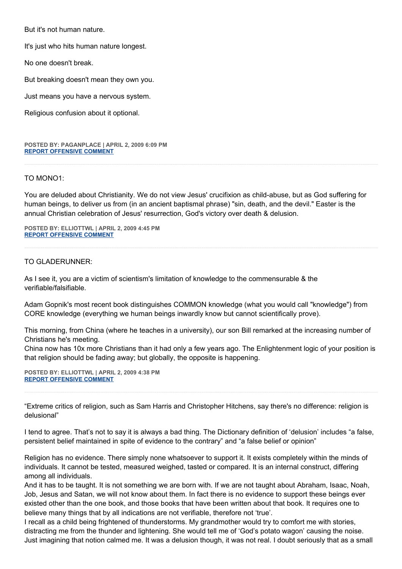But it's not human nature.

It's just who hits human nature longest.

No one doesn't break.

But breaking doesn't mean they own you.

Just means you have a nervous system.

Religious confusion about it optional.

**POSTED BY: PAGANPLACE | APRIL 2, 2009 6:09 PM [REPORT OFFENSIVE COMMENT](mailto:blogs@washingtonpost.com?subject=On%20Faith%20Panelists%20Blog%20%20%7C%20%20Paganplace%20%20%7C%20%20All%20Cults%20Are%20Religions%20%20%7C%20%204657664&body=%0D%0D%0D%0D%0D================%0D?__mode=view%26_type=comment%26id=4657664%26blog_id=618)**

#### TO MONO1:

You are deluded about Christianity. We do not view Jesus' crucifixion as child-abuse, but as God suffering for human beings, to deliver us from (in an ancient baptismal phrase) "sin, death, and the devil." Easter is the annual Christian celebration of Jesus' resurrection, God's victory over death & delusion.

**POSTED BY: ELLIOTTWL | APRIL 2, 2009 4:45 PM [REPORT OFFENSIVE COMMENT](mailto:blogs@washingtonpost.com?subject=On%20Faith%20Panelists%20Blog%20%20%7C%20%20elliottwl%20%20%7C%20%20All%20Cults%20Are%20Religions%20%20%7C%20%204657638&body=%0D%0D%0D%0D%0D================%0D?__mode=view%26_type=comment%26id=4657638%26blog_id=618)**

## TO GLADERUNNER:

As I see it, you are a victim of scientism's limitation of knowledge to the commensurable & the verifiable/falsifiable.

Adam Gopnik's most recent book distinguishes COMMON knowledge (what you would call "knowledge") from CORE knowledge (everything we human beings inwardly know but cannot scientifically prove).

This morning, from China (where he teaches in a university), our son Bill remarked at the increasing number of Christians he's meeting.

China now has 10x more Christians than it had only a few years ago. The Enlightenment logic of your position is that religion should be fading away; but globally, the opposite is happening.

**POSTED BY: ELLIOTTWL | APRIL 2, 2009 4:38 PM [REPORT OFFENSIVE COMMENT](mailto:blogs@washingtonpost.com?subject=On%20Faith%20Panelists%20Blog%20%20%7C%20%20elliottwl%20%20%7C%20%20All%20Cults%20Are%20Religions%20%20%7C%20%204657636&body=%0D%0D%0D%0D%0D================%0D?__mode=view%26_type=comment%26id=4657636%26blog_id=618)**

"Extreme critics of religion, such as Sam Harris and Christopher Hitchens, say there's no difference: religion is delusional"

I tend to agree. That's not to say it is always a bad thing. The Dictionary definition of 'delusion' includes "a false, persistent belief maintained in spite of evidence to the contrary" and "a false belief or opinion"

Religion has no evidence. There simply none whatsoever to support it. It exists completely within the minds of individuals. It cannot be tested, measured weighed, tasted or compared. It is an internal construct, differing among all individuals.

And it has to be taught. It is not something we are born with. If we are not taught about Abraham, Isaac, Noah, Job, Jesus and Satan, we will not know about them. In fact there is no evidence to support these beings ever existed other than the one book, and those books that have been written about that book. It requires one to believe many things that by all indications are not verifiable, therefore not 'true'.

I recall as a child being frightened of thunderstorms. My grandmother would try to comfort me with stories, distracting me from the thunder and lightening. She would tell me of 'God's potato wagon' causing the noise. Just imagining that notion calmed me. It was a delusion though, it was not real. I doubt seriously that as a small